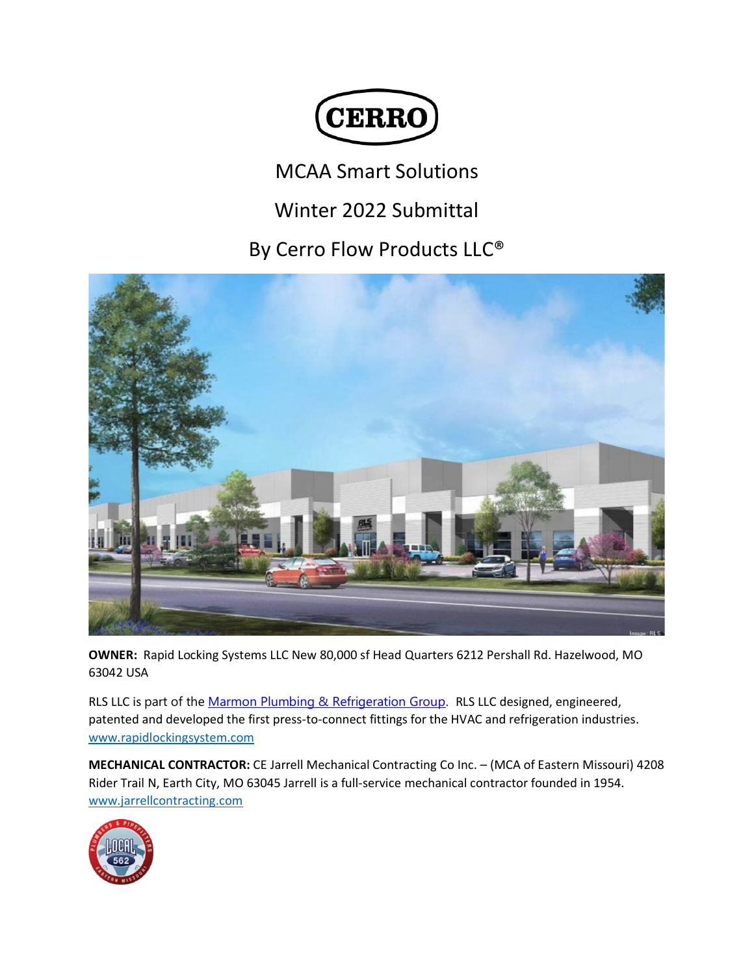

## MCAA Smart Solutions

## Winter 2022 Submittal

## By Cerro Flow Products LLC®



**OWNER:** Rapid Locking Systems LLC New 80,000 sf Head Quarters 6212 Pershall Rd. Hazelwood, MO 63042 USA

RLS LLC is part of the [Marmon](https://www.linkedin.com/company/the-marmon-group/) Plumbing & Refrigeration Group. RLS LLC designed, engineered, patented and developed the first press-to-connect fittings for the HVAC and refrigeration industries. [www.rapidlockingsystem.com](http://www.rapidlockingsystem.com/)

**MECHANICAL CONTRACTOR:** CE Jarrell Mechanical Contracting Co Inc. – (MCA of Eastern Missouri) 4208 Rider Trail N, Earth City, MO 63045 Jarrell is a full-service mechanical contractor founded in 1954. [www.jarrellcontracting.com](http://www.jarrellcontracting.com/)

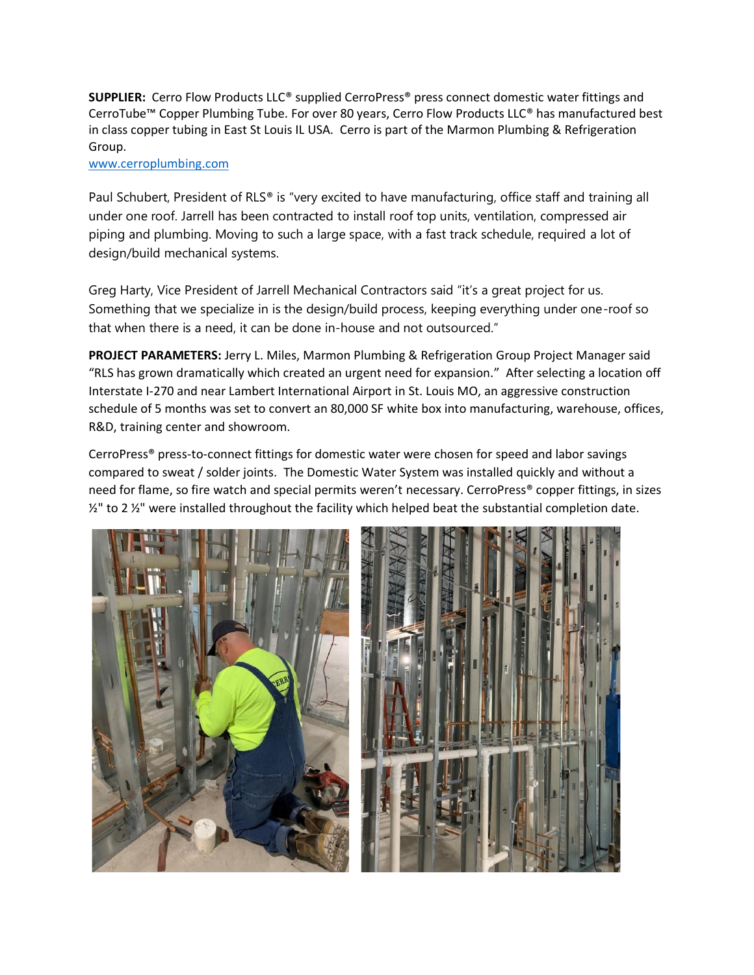**SUPPLIER:** Cerro Flow Products LLC® supplied CerroPress® press connect domestic water fittings and CerroTube™ Copper Plumbing Tube. For over 80 years, Cerro Flow Products LLC® has manufactured best in class copper tubing in East St Louis IL USA. Cerro is part of the Marmon Plumbing & Refrigeration Group.

## [www.cerroplumbing.com](http://www.cerroplumbing.com/)

Paul Schubert, President of RLS® is "very excited to have manufacturing, office staff and training all under one roof. Jarrell has been contracted to install roof top units, ventilation, compressed air piping and plumbing. Moving to such a large space, with a fast track schedule, required a lot of design/build mechanical systems.

Greg Harty, Vice President of Jarrell Mechanical Contractors said "it's a great project for us. Something that we specialize in is the design/build process, keeping everything under one-roof so that when there is a need, it can be done in-house and not outsourced."

**PROJECT PARAMETERS:** Jerry L. Miles, Marmon Plumbing & Refrigeration Group Project Manager said "RLS has grown dramatically which created an urgent need for expansion." After selecting a location off Interstate I-270 and near Lambert International Airport in St. Louis MO, an aggressive construction schedule of 5 months was set to convert an 80,000 SF white box into manufacturing, warehouse, offices, R&D, training center and showroom.

CerroPress® press-to-connect fittings for domestic water were chosen for speed and labor savings compared to sweat / solder joints. The Domestic Water System was installed quickly and without a need for flame, so fire watch and special permits weren't necessary. CerroPress® copper fittings, in sizes ½" to 2 ½" were installed throughout the facility which helped beat the substantial completion date.

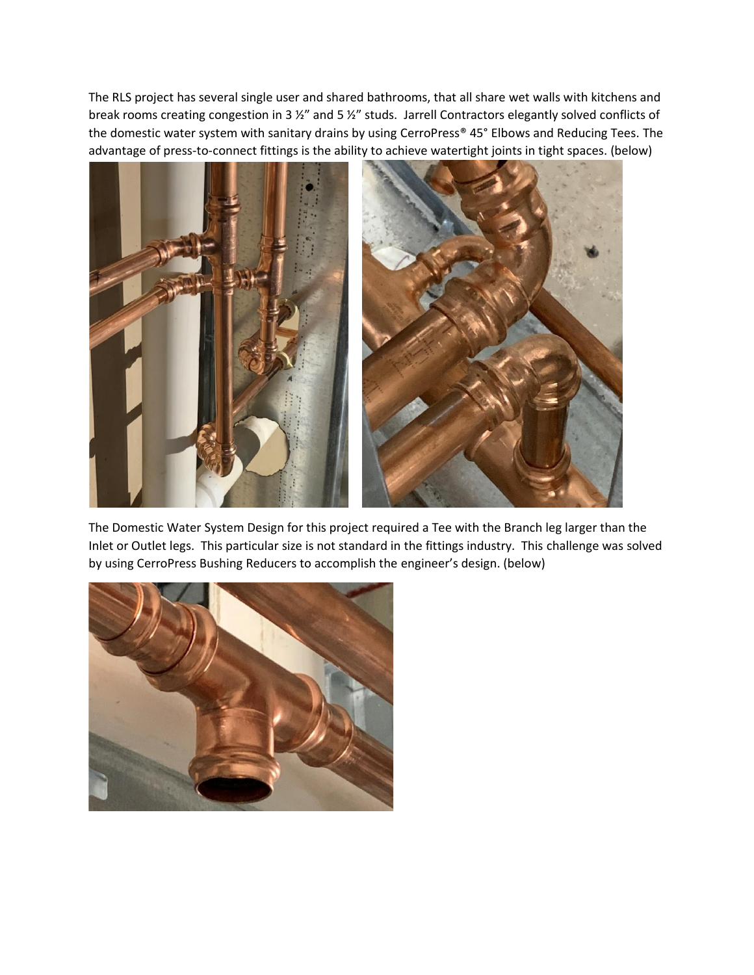The RLS project has several single user and shared bathrooms, that all share wet walls with kitchens and break rooms creating congestion in 3 ½" and 5 ½" studs. Jarrell Contractors elegantly solved conflicts of the domestic water system with sanitary drains by using CerroPress® 45° Elbows and Reducing Tees. The advantage of press-to-connect fittings is the ability to achieve watertight joints in tight spaces. (below)



The Domestic Water System Design for this project required a Tee with the Branch leg larger than the Inlet or Outlet legs. This particular size is not standard in the fittings industry. This challenge was solved by using CerroPress Bushing Reducers to accomplish the engineer's design. (below)

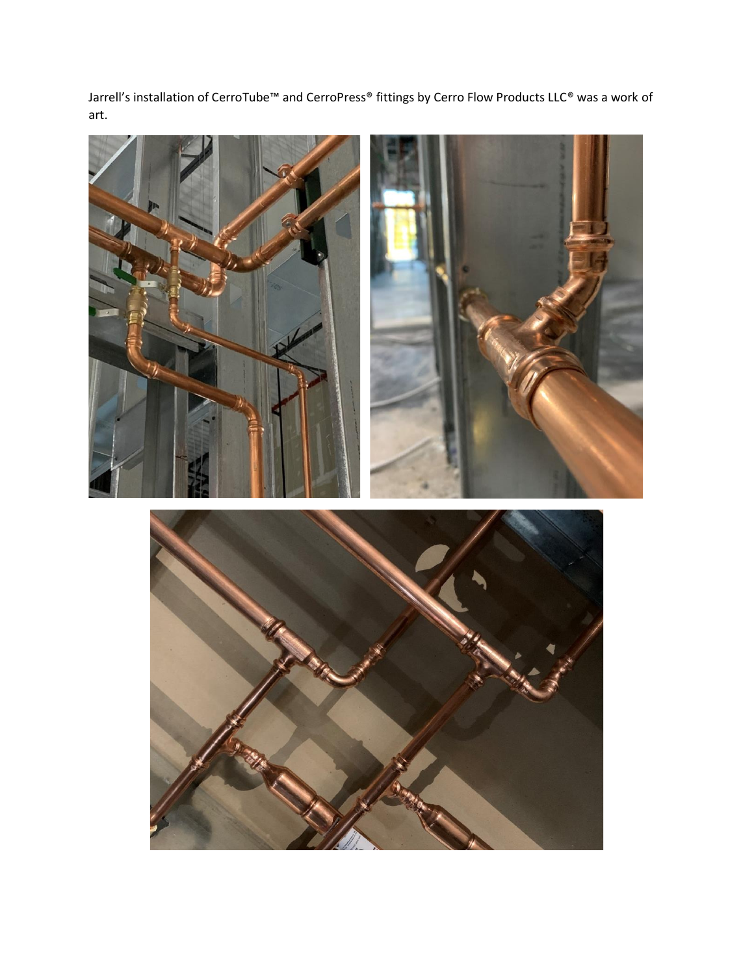Jarrell's installation of CerroTube™ and CerroPress® fittings by Cerro Flow Products LLC® was a work of art.